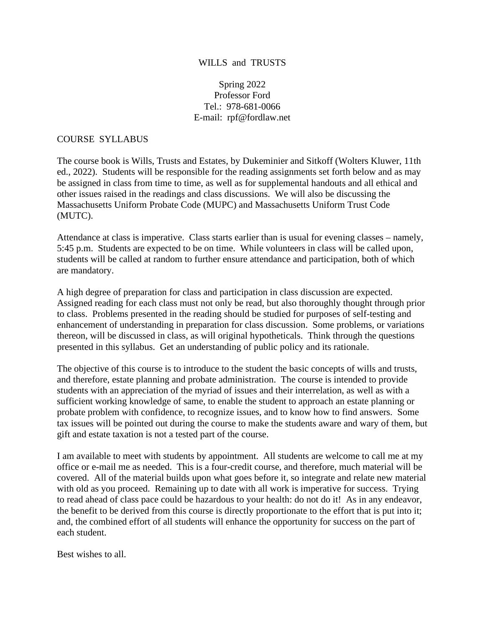# WILLS and TRUSTS

Spring 2022 Professor Ford Tel.: 978-681-0066 E-mail: rpf@fordlaw.net

# COURSE SYLLABUS

The course book is Wills, Trusts and Estates, by Dukeminier and Sitkoff (Wolters Kluwer, 11th ed., 2022). Students will be responsible for the reading assignments set forth below and as may be assigned in class from time to time, as well as for supplemental handouts and all ethical and other issues raised in the readings and class discussions. We will also be discussing the Massachusetts Uniform Probate Code (MUPC) and Massachusetts Uniform Trust Code (MUTC).

Attendance at class is imperative. Class starts earlier than is usual for evening classes – namely, 5:45 p.m. Students are expected to be on time. While volunteers in class will be called upon, students will be called at random to further ensure attendance and participation, both of which are mandatory.

A high degree of preparation for class and participation in class discussion are expected. Assigned reading for each class must not only be read, but also thoroughly thought through prior to class. Problems presented in the reading should be studied for purposes of self-testing and enhancement of understanding in preparation for class discussion. Some problems, or variations thereon, will be discussed in class, as will original hypotheticals. Think through the questions presented in this syllabus. Get an understanding of public policy and its rationale.

The objective of this course is to introduce to the student the basic concepts of wills and trusts, and therefore, estate planning and probate administration. The course is intended to provide students with an appreciation of the myriad of issues and their interrelation, as well as with a sufficient working knowledge of same, to enable the student to approach an estate planning or probate problem with confidence, to recognize issues, and to know how to find answers. Some tax issues will be pointed out during the course to make the students aware and wary of them, but gift and estate taxation is not a tested part of the course.

I am available to meet with students by appointment. All students are welcome to call me at my office or e-mail me as needed. This is a four-credit course, and therefore, much material will be covered. All of the material builds upon what goes before it, so integrate and relate new material with old as you proceed. Remaining up to date with all work is imperative for success. Trying to read ahead of class pace could be hazardous to your health: do not do it! As in any endeavor, the benefit to be derived from this course is directly proportionate to the effort that is put into it; and, the combined effort of all students will enhance the opportunity for success on the part of each student.

Best wishes to all.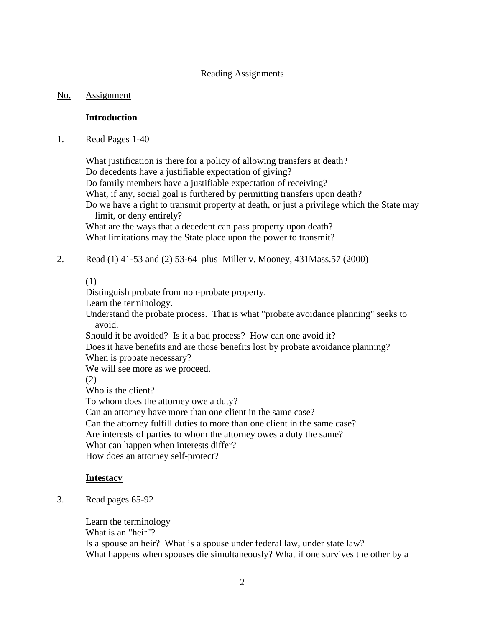# Reading Assignments

# No. Assignment

# **Introduction**

1. Read Pages 1-40

What justification is there for a policy of allowing transfers at death? Do decedents have a justifiable expectation of giving? Do family members have a justifiable expectation of receiving? What, if any, social goal is furthered by permitting transfers upon death? Do we have a right to transmit property at death, or just a privilege which the State may limit, or deny entirely? What are the ways that a decedent can pass property upon death? What limitations may the State place upon the power to transmit?

2. Read (1) 41-53 and (2) 53-64 plus Miller v. Mooney, 431Mass.57 (2000)

## (1)

Distinguish probate from non-probate property.

Learn the terminology.

Understand the probate process. That is what "probate avoidance planning" seeks to avoid.

Should it be avoided? Is it a bad process? How can one avoid it?

Does it have benefits and are those benefits lost by probate avoidance planning? When is probate necessary?

We will see more as we proceed.

(2)

Who is the client?

To whom does the attorney owe a duty?

Can an attorney have more than one client in the same case?

Can the attorney fulfill duties to more than one client in the same case?

Are interests of parties to whom the attorney owes a duty the same?

What can happen when interests differ?

How does an attorney self-protect?

# **Intestacy**

3. Read pages 65-92

Learn the terminology What is an "heir"? Is a spouse an heir? What is a spouse under federal law, under state law? What happens when spouses die simultaneously? What if one survives the other by a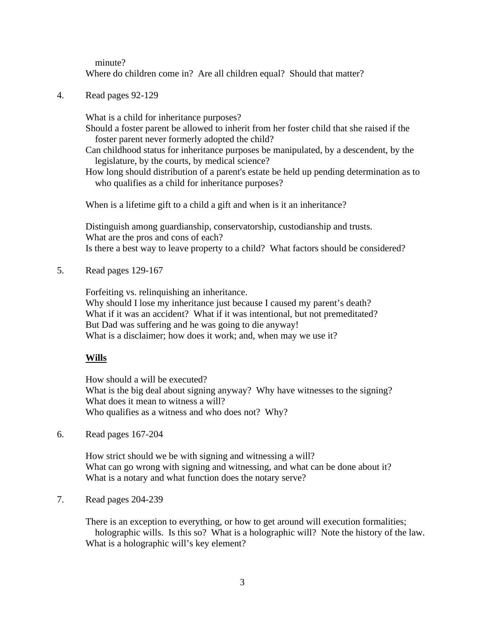minute?

Where do children come in? Are all children equal? Should that matter?

4. Read pages 92-129

What is a child for inheritance purposes?

Should a foster parent be allowed to inherit from her foster child that she raised if the foster parent never formerly adopted the child?

Can childhood status for inheritance purposes be manipulated, by a descendent, by the legislature, by the courts, by medical science?

How long should distribution of a parent's estate be held up pending determination as to who qualifies as a child for inheritance purposes?

When is a lifetime gift to a child a gift and when is it an inheritance?

Distinguish among guardianship, conservatorship, custodianship and trusts. What are the pros and cons of each? Is there a best way to leave property to a child? What factors should be considered?

5. Read pages 129-167

Forfeiting vs. relinquishing an inheritance. Why should I lose my inheritance just because I caused my parent's death? What if it was an accident? What if it was intentional, but not premeditated? But Dad was suffering and he was going to die anyway! What is a disclaimer; how does it work; and, when may we use it?

### **Wills**

How should a will be executed? What is the big deal about signing anyway? Why have witnesses to the signing? What does it mean to witness a will? Who qualifies as a witness and who does not? Why?

6. Read pages 167-204

How strict should we be with signing and witnessing a will? What can go wrong with signing and witnessing, and what can be done about it? What is a notary and what function does the notary serve?

7. Read pages 204-239

There is an exception to everything, or how to get around will execution formalities; holographic wills. Is this so? What is a holographic will? Note the history of the law. What is a holographic will's key element?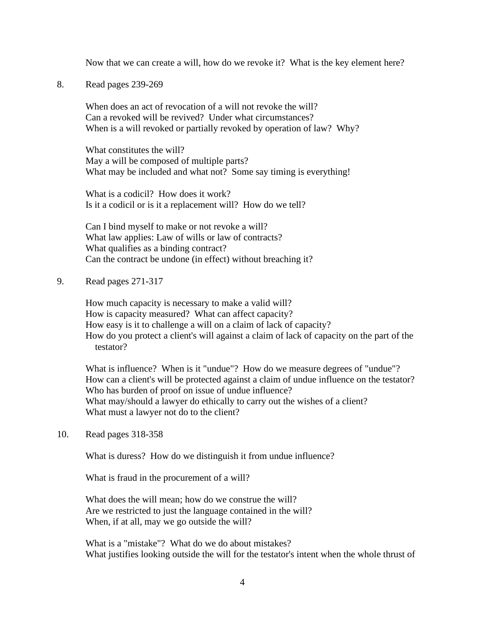Now that we can create a will, how do we revoke it? What is the key element here?

8. Read pages 239-269

When does an act of revocation of a will not revoke the will? Can a revoked will be revived? Under what circumstances? When is a will revoked or partially revoked by operation of law? Why?

What constitutes the will? May a will be composed of multiple parts? What may be included and what not? Some say timing is everything!

What is a codicil? How does it work? Is it a codicil or is it a replacement will? How do we tell?

Can I bind myself to make or not revoke a will? What law applies: Law of wills or law of contracts? What qualifies as a binding contract? Can the contract be undone (in effect) without breaching it?

9. Read pages 271-317

How much capacity is necessary to make a valid will? How is capacity measured? What can affect capacity? How easy is it to challenge a will on a claim of lack of capacity? How do you protect a client's will against a claim of lack of capacity on the part of the testator?

What is influence? When is it "undue"? How do we measure degrees of "undue"? How can a client's will be protected against a claim of undue influence on the testator? Who has burden of proof on issue of undue influence? What may/should a lawyer do ethically to carry out the wishes of a client? What must a lawyer not do to the client?

10. Read pages 318-358

What is duress? How do we distinguish it from undue influence?

What is fraud in the procurement of a will?

What does the will mean; how do we construe the will? Are we restricted to just the language contained in the will? When, if at all, may we go outside the will?

What is a "mistake"? What do we do about mistakes? What justifies looking outside the will for the testator's intent when the whole thrust of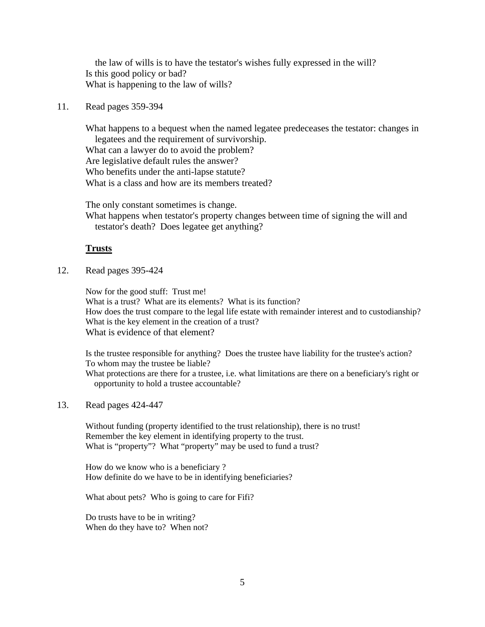the law of wills is to have the testator's wishes fully expressed in the will? Is this good policy or bad? What is happening to the law of wills?

#### 11. Read pages 359-394

What happens to a bequest when the named legatee predeceases the testator: changes in legatees and the requirement of survivorship. What can a lawyer do to avoid the problem? Are legislative default rules the answer? Who benefits under the anti-lapse statute? What is a class and how are its members treated?

The only constant sometimes is change. What happens when testator's property changes between time of signing the will and testator's death? Does legatee get anything?

#### **Trusts**

12. Read pages 395-424

Now for the good stuff: Trust me! What is a trust? What are its elements? What is its function? How does the trust compare to the legal life estate with remainder interest and to custodianship? What is the key element in the creation of a trust? What is evidence of that element?

Is the trustee responsible for anything? Does the trustee have liability for the trustee's action? To whom may the trustee be liable? What protections are there for a trustee, i.e. what limitations are there on a beneficiary's right or opportunity to hold a trustee accountable?

13. Read pages 424-447

Without funding (property identified to the trust relationship), there is no trust! Remember the key element in identifying property to the trust. What is "property"? What "property" may be used to fund a trust?

How do we know who is a beneficiary ? How definite do we have to be in identifying beneficiaries?

What about pets? Who is going to care for Fifi?

Do trusts have to be in writing? When do they have to? When not?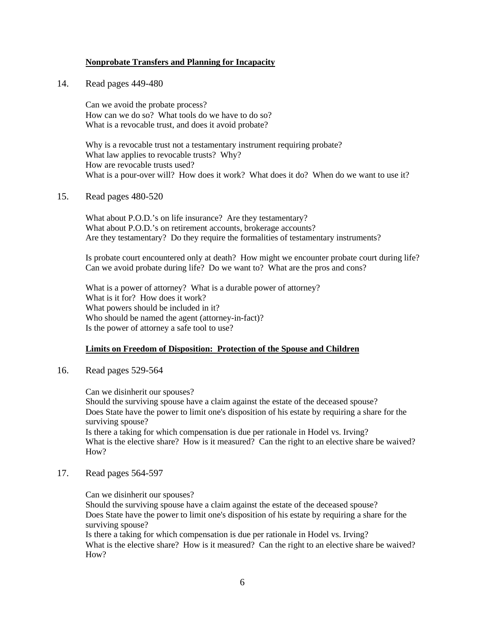#### **Nonprobate Transfers and Planning for Incapacity**

14. Read pages 449-480

Can we avoid the probate process? How can we do so? What tools do we have to do so? What is a revocable trust, and does it avoid probate?

Why is a revocable trust not a testamentary instrument requiring probate? What law applies to revocable trusts? Why? How are revocable trusts used? What is a pour-over will? How does it work? What does it do? When do we want to use it?

15. Read pages 480-520

What about P.O.D.'s on life insurance? Are they testamentary? What about P.O.D.'s on retirement accounts, brokerage accounts? Are they testamentary? Do they require the formalities of testamentary instruments?

Is probate court encountered only at death? How might we encounter probate court during life? Can we avoid probate during life? Do we want to? What are the pros and cons?

What is a power of attorney? What is a durable power of attorney? What is it for? How does it work? What powers should be included in it? Who should be named the agent (attorney-in-fact)? Is the power of attorney a safe tool to use?

#### **Limits on Freedom of Disposition: Protection of the Spouse and Children**

16. Read pages 529-564

Can we disinherit our spouses? Should the surviving spouse have a claim against the estate of the deceased spouse? Does State have the power to limit one's disposition of his estate by requiring a share for the surviving spouse? Is there a taking for which compensation is due per rationale in Hodel vs. Irving? What is the elective share? How is it measured? Can the right to an elective share be waived? How?

17. Read pages 564-597

Can we disinherit our spouses? Should the surviving spouse have a claim against the estate of the deceased spouse? Does State have the power to limit one's disposition of his estate by requiring a share for the surviving spouse? Is there a taking for which compensation is due per rationale in Hodel vs. Irving? What is the elective share? How is it measured? Can the right to an elective share be waived? How?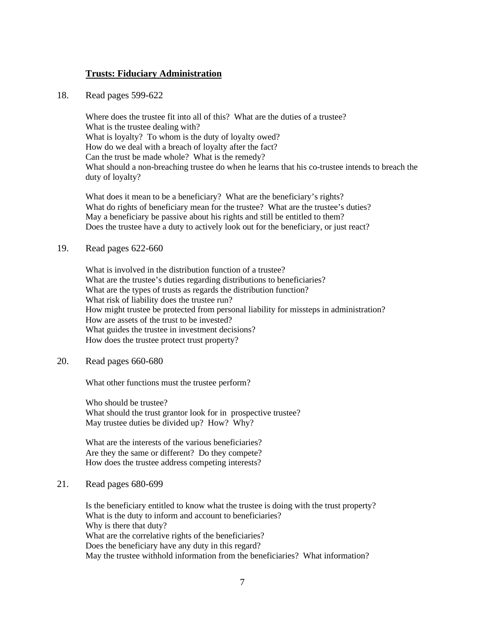## **Trusts: Fiduciary Administration**

18. Read pages 599-622

Where does the trustee fit into all of this? What are the duties of a trustee? What is the trustee dealing with? What is loyalty? To whom is the duty of loyalty owed? How do we deal with a breach of loyalty after the fact? Can the trust be made whole? What is the remedy? What should a non-breaching trustee do when he learns that his co-trustee intends to breach the duty of loyalty?

What does it mean to be a beneficiary? What are the beneficiary's rights? What do rights of beneficiary mean for the trustee? What are the trustee's duties? May a beneficiary be passive about his rights and still be entitled to them? Does the trustee have a duty to actively look out for the beneficiary, or just react?

## 19. Read pages 622-660

What is involved in the distribution function of a trustee? What are the trustee's duties regarding distributions to beneficiaries? What are the types of trusts as regards the distribution function? What risk of liability does the trustee run? How might trustee be protected from personal liability for missteps in administration? How are assets of the trust to be invested? What guides the trustee in investment decisions? How does the trustee protect trust property?

## 20. Read pages 660-680

What other functions must the trustee perform?

Who should be trustee? What should the trust grantor look for in prospective trustee? May trustee duties be divided up? How? Why?

What are the interests of the various beneficiaries? Are they the same or different? Do they compete? How does the trustee address competing interests?

### 21. Read pages 680-699

Is the beneficiary entitled to know what the trustee is doing with the trust property? What is the duty to inform and account to beneficiaries? Why is there that duty? What are the correlative rights of the beneficiaries? Does the beneficiary have any duty in this regard? May the trustee withhold information from the beneficiaries? What information?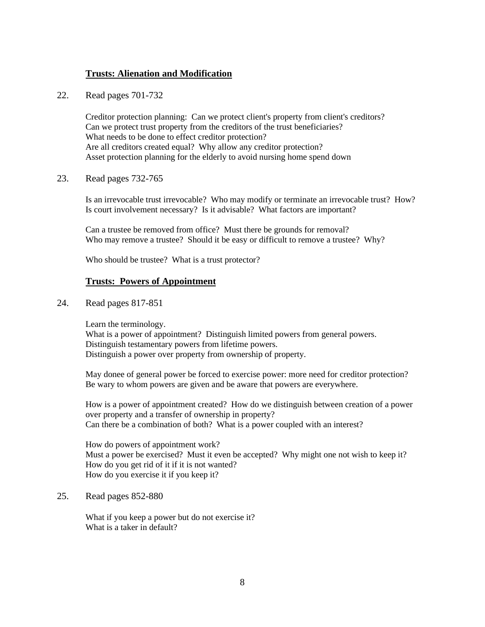# **Trusts: Alienation and Modification**

22. Read pages 701-732

Creditor protection planning: Can we protect client's property from client's creditors? Can we protect trust property from the creditors of the trust beneficiaries? What needs to be done to effect creditor protection? Are all creditors created equal? Why allow any creditor protection? Asset protection planning for the elderly to avoid nursing home spend down

23. Read pages 732-765

Is an irrevocable trust irrevocable? Who may modify or terminate an irrevocable trust? How? Is court involvement necessary? Is it advisable? What factors are important?

Can a trustee be removed from office? Must there be grounds for removal? Who may remove a trustee? Should it be easy or difficult to remove a trustee? Why?

Who should be trustee? What is a trust protector?

#### **Trusts: Powers of Appointment**

24. Read pages 817-851

Learn the terminology.

What is a power of appointment? Distinguish limited powers from general powers. Distinguish testamentary powers from lifetime powers. Distinguish a power over property from ownership of property.

May donee of general power be forced to exercise power: more need for creditor protection? Be wary to whom powers are given and be aware that powers are everywhere.

How is a power of appointment created? How do we distinguish between creation of a power over property and a transfer of ownership in property? Can there be a combination of both? What is a power coupled with an interest?

How do powers of appointment work? Must a power be exercised? Must it even be accepted? Why might one not wish to keep it? How do you get rid of it if it is not wanted? How do you exercise it if you keep it?

25. Read pages 852-880

What if you keep a power but do not exercise it? What is a taker in default?